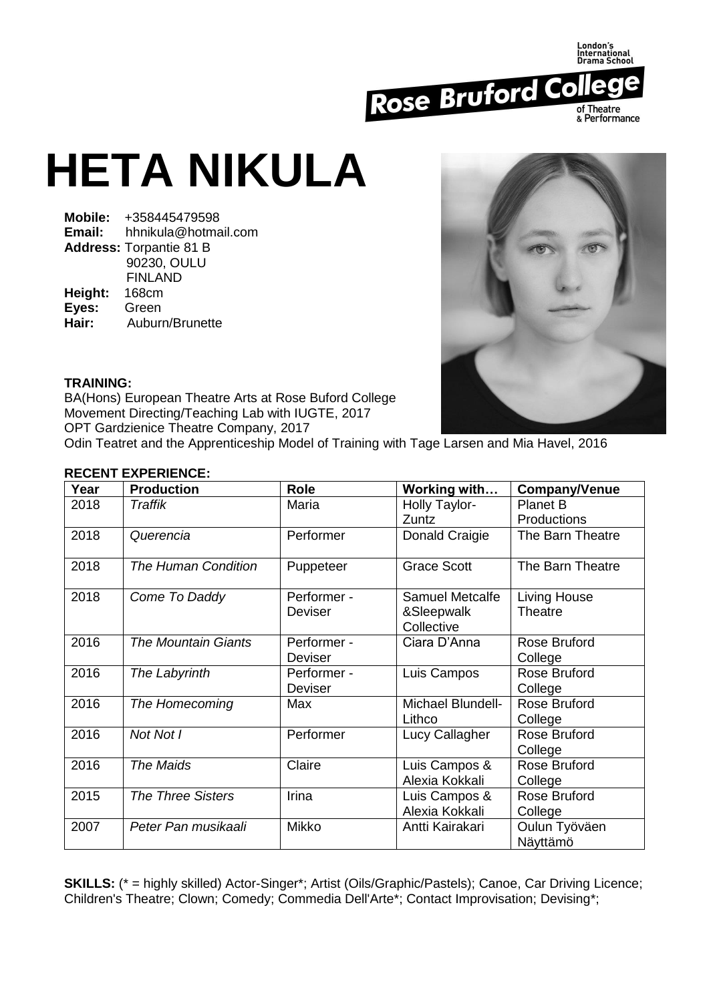

## **HETA NIKULA**

**Mobile:** +358445479598 **Email:** hhnikula@hotmail.com **Address:** Torpantie 81 B 90230, OULU FINLAND<br>168cm **Height: Eyes:** Green **Hair:** Auburn/Brunette



## **TRAINING:**

BA(Hons) European Theatre Arts at Rose Buford College Movement Directing/Teaching Lab with IUGTE, 2017 OPT Gardzienice Theatre Company, 2017

Odin Teatret and the Apprenticeship Model of Training with Tage Larsen and Mia Havel, 2016

## **RECENT EXPERIENCE:**

| Year | <b>Production</b>          | <b>Role</b>                   | Working with                                | <b>Company/Venue</b>           |
|------|----------------------------|-------------------------------|---------------------------------------------|--------------------------------|
| 2018 | Traffik                    | Maria                         | Holly Taylor-<br>Zuntz                      | <b>Planet B</b><br>Productions |
| 2018 | Querencia                  | Performer                     | Donald Craigie                              | The Barn Theatre               |
| 2018 | <b>The Human Condition</b> | Puppeteer                     | <b>Grace Scott</b>                          | The Barn Theatre               |
| 2018 | Come To Daddy              | Performer -<br>Deviser        | Samuel Metcalfe<br>&Sleepwalk<br>Collective | Living House<br><b>Theatre</b> |
| 2016 | <b>The Mountain Giants</b> | Performer -<br><b>Deviser</b> | Ciara D'Anna                                | Rose Bruford<br>College        |
| 2016 | The Labyrinth              | Performer -<br><b>Deviser</b> | Luis Campos                                 | Rose Bruford<br>College        |
| 2016 | The Homecoming             | Max                           | Michael Blundell-<br>Lithco                 | Rose Bruford<br>College        |
| 2016 | Not Not I                  | Performer                     | Lucy Callagher                              | Rose Bruford<br>College        |
| 2016 | The Maids                  | Claire                        | Luis Campos &<br>Alexia Kokkali             | Rose Bruford<br>College        |
| 2015 | <b>The Three Sisters</b>   | Irina                         | Luis Campos &<br>Alexia Kokkali             | Rose Bruford<br>College        |
| 2007 | Peter Pan musikaali        | <b>Mikko</b>                  | Antti Kairakari                             | Oulun Työväen<br>Näyttämö      |

**SKILLS:** (\* = highly skilled) Actor-Singer\*; Artist (Oils/Graphic/Pastels); Canoe, Car Driving Licence; Children's Theatre; Clown; Comedy; Commedia Dell'Arte\*; Contact Improvisation; Devising\*;